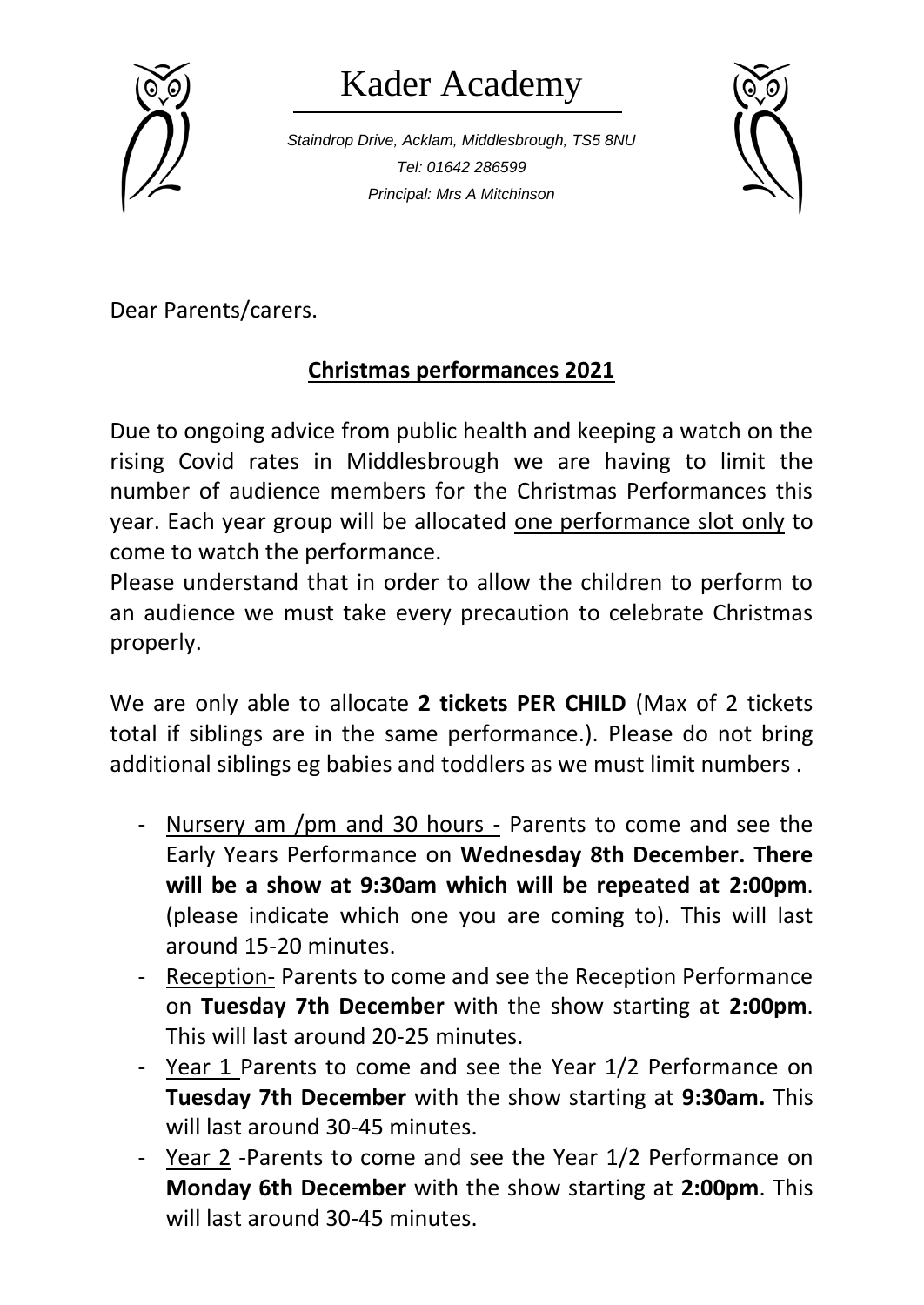

## Kader Academy

*Staindrop Drive, Acklam, Middlesbrough, TS5 8NU Tel: 01642 286599 Principal: Mrs A Mitchinson*



Dear Parents/carers.

## **Christmas performances 2021**

Due to ongoing advice from public health and keeping a watch on the rising Covid rates in Middlesbrough we are having to limit the number of audience members for the Christmas Performances this year. Each year group will be allocated one performance slot only to come to watch the performance.

Please understand that in order to allow the children to perform to an audience we must take every precaution to celebrate Christmas properly.

We are only able to allocate **2 tickets PER CHILD** (Max of 2 tickets total if siblings are in the same performance.). Please do not bring additional siblings eg babies and toddlers as we must limit numbers .

- Nursery am /pm and 30 hours Parents to come and see the Early Years Performance on **Wednesday 8th December. There will be a show at 9:30am which will be repeated at 2:00pm**. (please indicate which one you are coming to). This will last around 15-20 minutes.
- Reception- Parents to come and see the Reception Performance on **Tuesday 7th December** with the show starting at **2:00pm**. This will last around 20-25 minutes.
- Year 1 Parents to come and see the Year 1/2 Performance on **Tuesday 7th December** with the show starting at **9:30am.** This will last around 30-45 minutes.
- Year 2 -Parents to come and see the Year 1/2 Performance on **Monday 6th December** with the show starting at **2:00pm**. This will last around 30-45 minutes.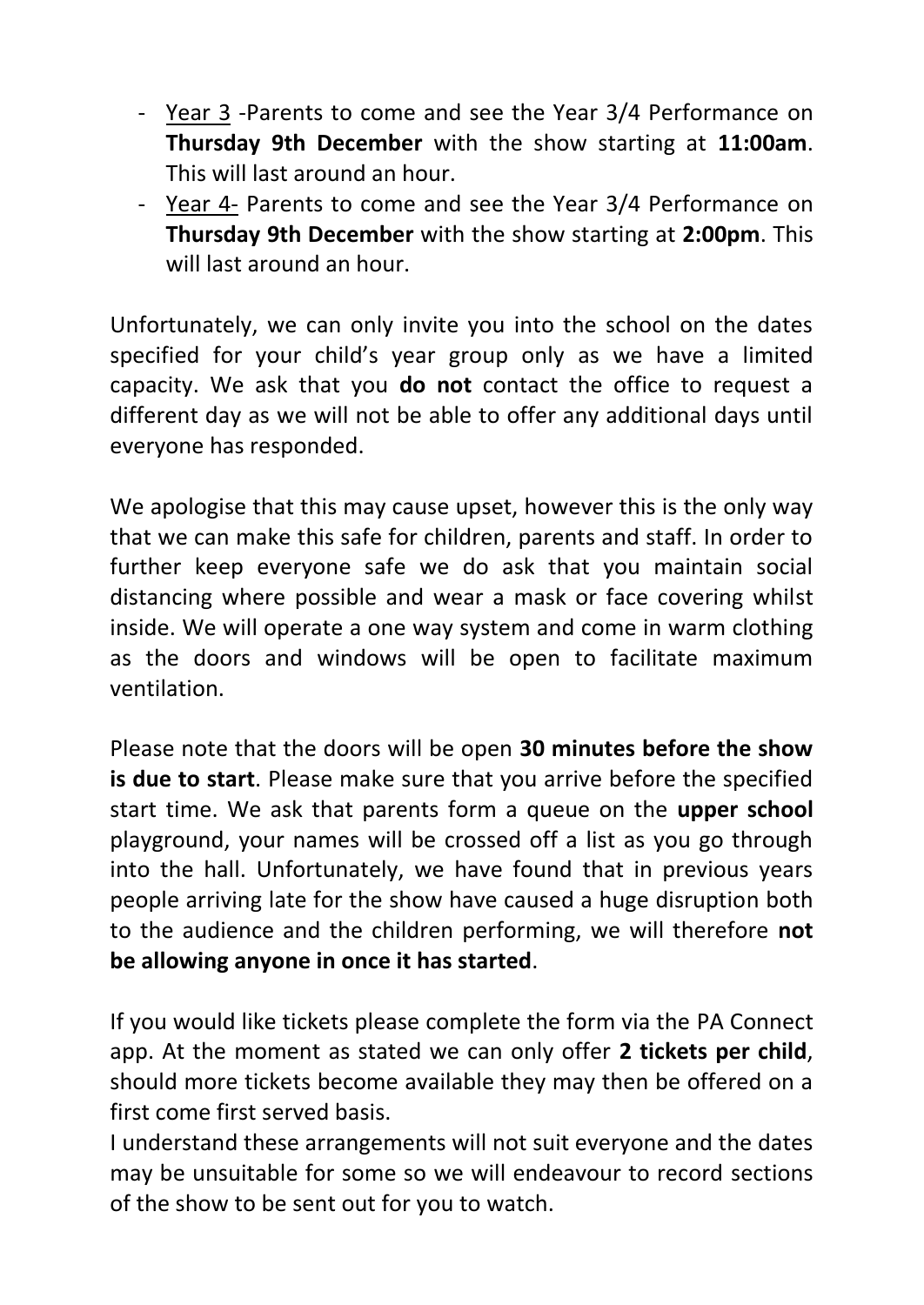- Year 3 -Parents to come and see the Year 3/4 Performance on **Thursday 9th December** with the show starting at **11:00am**. This will last around an hour.
- Year 4- Parents to come and see the Year 3/4 Performance on **Thursday 9th December** with the show starting at **2:00pm**. This will last around an hour.

Unfortunately, we can only invite you into the school on the dates specified for your child's year group only as we have a limited capacity. We ask that you **do not** contact the office to request a different day as we will not be able to offer any additional days until everyone has responded.

We apologise that this may cause upset, however this is the only way that we can make this safe for children, parents and staff. In order to further keep everyone safe we do ask that you maintain social distancing where possible and wear a mask or face covering whilst inside. We will operate a one way system and come in warm clothing as the doors and windows will be open to facilitate maximum ventilation.

Please note that the doors will be open **30 minutes before the show is due to start**. Please make sure that you arrive before the specified start time. We ask that parents form a queue on the **upper school** playground, your names will be crossed off a list as you go through into the hall. Unfortunately, we have found that in previous years people arriving late for the show have caused a huge disruption both to the audience and the children performing, we will therefore **not be allowing anyone in once it has started**.

If you would like tickets please complete the form via the PA Connect app. At the moment as stated we can only offer **2 tickets per child**, should more tickets become available they may then be offered on a first come first served basis.

I understand these arrangements will not suit everyone and the dates may be unsuitable for some so we will endeavour to record sections of the show to be sent out for you to watch.